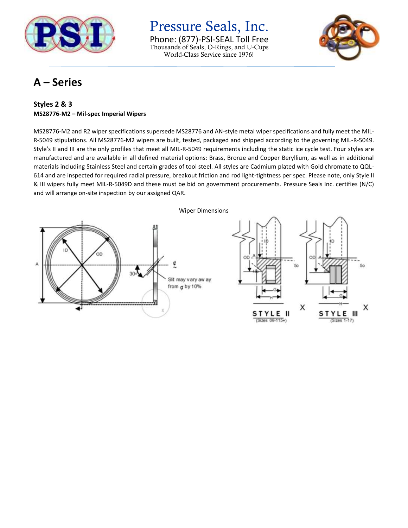

Pressure Seals, Inc. Phone: (877)-PSI-SEAL Toll Free Thousands of Seals, O-Rings, and U-Cups World-Class Service since 1976!



### **A – Series**

### **Styles 2 & 3 MS28776-M2 – Mil-spec Imperial Wipers**

MS28776-M2 and R2 wiper specifications supersede MS28776 and AN-style metal wiper specifications and fully meet the MIL-R-5049 stipulations. All MS28776-M2 wipers are built, tested, packaged and shipped according to the governing MIL-R-5049. Style's II and III are the only profiles that meet all MIL-R-5049 requirements including the static ice cycle test. Four styles are manufactured and are available in all defined material options: Brass, Bronze and Copper Beryllium, as well as in additional materials including Stainless Steel and certain grades of tool steel. All styles are Cadmium plated with Gold chromate to QQL-614 and are inspected for required radial pressure, breakout friction and rod light-tightness per spec. Please note, only Style II & III wipers fully meet MIL-R-5049D and these must be bid on government procurements. Pressure Seals Inc. certifies (N/C) and will arrange on-site inspection by our assigned QAR.

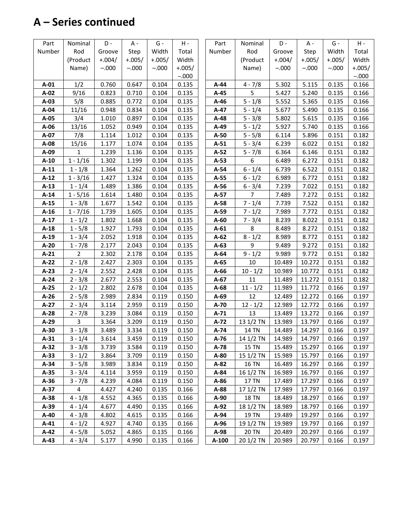# **A – Series continued**

| Part   | Nominal        | D -      | A -      | $G -$    | H -      | Part   | Nominal          | D-       | A -          | G -      | $H -$    |
|--------|----------------|----------|----------|----------|----------|--------|------------------|----------|--------------|----------|----------|
| Number | Rod            | Groove   | Step     | Width    | Total    | Number | Rod              | Groove   | Step         | Width    | Total    |
|        | (Product       | $+.004/$ | $+.005/$ | $+.005/$ | Width    |        | (Product         | $+.004/$ | $+.005/$     | $+.005/$ | Width    |
|        | Name)          | $-.000$  | $-.000$  | $-.000$  | $+.005/$ |        | Name)            | $-.000$  | $-.000$      | $-.000$  | $+.005/$ |
|        |                |          |          |          | $-.000$  |        |                  |          |              |          | $-.000$  |
| $A-01$ | 1/2            | 0.760    | 0.647    | 0.104    | 0.135    | $A-44$ | $4 - 7/8$        | 5.302    | 5.115        | 0.135    | 0.166    |
| A-02   | 9/16           | 0.823    | 0.710    | 0.104    | 0.135    | $A-45$ | 5                | 5.427    | 5.240        | 0.135    | 0.166    |
| $A-03$ | 5/8            | 0.885    | 0.772    | 0.104    | 0.135    | $A-46$ | $5 - 1/8$        | 5.552    | 5.365        | 0.135    | 0.166    |
| A-04   | 11/16          | 0.948    | 0.834    | 0.104    | 0.135    | A-47   | $5 - 1/4$        | 5.677    | 5.490        | 0.135    | 0.166    |
| A-05   | 3/4            | 1.010    | 0.897    | 0.104    | 0.135    | $A-48$ | $5 - 3/8$        | 5.802    | 5.615        | 0.135    | 0.166    |
| $A-06$ | 13/16          | 1.052    | 0.949    | 0.104    | 0.135    | A-49   | $5 - 1/2$        | 5.927    | 5.740        | 0.135    | 0.166    |
| A-07   | 7/8            | 1.114    | 1.012    | 0.104    | 0.135    | $A-50$ | $5 - 5/8$        | 6.114    | 5.896        | 0.151    | 0.182    |
| A-08   | 15/16          | 1.177    | 1.074    | 0.104    | 0.135    | $A-51$ | $5 - 3/4$        | 6.239    | 6.022        | 0.151    | 0.182    |
| A-09   | $\mathbf{1}$   | 1.239    | 1.136    | 0.104    | 0.135    | $A-52$ | $5 - 7/8$        | 6.364    | 6.146        | 0.151    | 0.182    |
| $A-10$ | $1 - 1/16$     | 1.302    | 1.199    | 0.104    | 0.135    | $A-53$ | 6                | 6.489    | 6.272        | 0.151    | 0.182    |
| $A-11$ | $1 - 1/8$      | 1.364    | 1.262    | 0.104    | 0.135    | A-54   | $6 - 1/4$        | 6.739    | 6.522        | 0.151    | 0.182    |
| $A-12$ | $1 - 3/16$     | 1.427    | 1.324    | 0.104    | 0.135    | $A-55$ | $6 - 1/2$        | 6.989    | 6.772        | 0.151    | 0.182    |
| $A-13$ | $1 - 1/4$      | 1.489    | 1.386    | 0.104    | 0.135    | $A-56$ | $6 - 3/4$        | 7.239    | 7.022        | 0.151    | 0.182    |
| $A-14$ | $1 - 5/16$     | 1.614    | 1.480    | 0.104    | 0.135    | $A-57$ | $\overline{7}$   | 7.489    | 7.272        | 0.151    | 0.182    |
| $A-15$ | $1 - 3/8$      | 1.677    | 1.542    | 0.104    | 0.135    | A-58   | $7 - 1/4$        | 7.739    | 7.522        | 0.151    | 0.182    |
| $A-16$ | $1 - 7/16$     | 1.739    | 1.605    | 0.104    | 0.135    | A-59   | $7 - 1/2$        | 7.989    | 7.772        | 0.151    | 0.182    |
| $A-17$ | $1 - 1/2$      | 1.802    | 1.668    | 0.104    | 0.135    | $A-60$ | $7 - 3/4$        | 8.239    | 8.022        | 0.151    | 0.182    |
| $A-18$ | $1 - 5/8$      | 1.927    | 1.793    | 0.104    | 0.135    | $A-61$ | 8                | 8.489    | 8.272        | 0.151    | 0.182    |
| $A-19$ | $1 - 3/4$      | 2.052    | 1.918    | 0.104    | 0.135    | $A-62$ | $8 - 1/2$        | 8.989    | 8.772        | 0.151    | 0.182    |
| $A-20$ | $1 - 7/8$      | 2.177    | 2.043    | 0.104    | 0.135    | $A-63$ | 9                | 9.489    | 9.272        | 0.151    | 0.182    |
| $A-21$ | $\overline{2}$ | 2.302    | 2.178    | 0.104    | 0.135    | $A-64$ | $9 - 1/2$        | 9.989    | 9.772        | 0.151    | 0.182    |
| $A-22$ | $2 - 1/8$      | 2.427    | 2.303    | 0.104    | 0.135    | $A-65$ | 10               | 10.489   | 10.272       | 0.151    | 0.182    |
| $A-23$ | $2 - 1/4$      | 2.552    | 2.428    | 0.104    | 0.135    | $A-66$ | $10 - 1/2$       | 10.989   | 10.772       | 0.151    | 0.182    |
| $A-24$ | $2 - 3/8$      | 2.677    | 2.553    | 0.104    | 0.135    | $A-67$ | 11               | 11.489   | 11.272       | 0.151    | 0.182    |
| $A-25$ | $2 - 1/2$      | 2.802    | 2.678    | 0.104    | 0.135    | $A-68$ | $11 - 1/2$       | 11.989   | 11.772       | 0.166    | 0.197    |
| $A-26$ | $2 - 5/8$      | 2.989    | 2.834    | 0.119    | 0.150    | $A-69$ | 12               | 12.489   | 12.272       | 0.166    | 0.197    |
| $A-27$ | $2 - 3/4$      | 3.114    | 2.959    | 0.119    | 0.150    | A-70   | $12 - 1/2$       | 12.989   | 12.772       | 0.166    | 0.197    |
| $A-28$ | $2 - 7/8$      | 3.239    | 3.084    | 0.119    | 0.150    | $A-71$ | 13               | 13.489   | 13.272       | 0.166    | 0.197    |
| $A-29$ | 3              | 3.364    | 3.209    | 0.119    | 0.150    | $A-72$ | 13 1/2 TN        | 13.989   | 13.797       | 0.166    | 0.197    |
| $A-30$ | $3 - 1/8$      | 3.489    | 3.334    | 0.119    | 0.150    | A-74   | 14 TN            | 14.489   | 14.297       | 0.166    | 0.197    |
| $A-31$ | $3 - 1/4$      | 3.614    | 3.459    | 0.119    | 0.150    | $A-76$ | 14 1/2 TN 14.989 |          | 14.797 0.166 |          | 0.197    |
| $A-32$ | $3 - 3/8$      | 3.739    | 3.584    | 0.119    | 0.150    | A-78   | <b>15 TN</b>     | 15.489   | 15.297       | 0.166    | 0.197    |
| $A-33$ | $3 - 1/2$      | 3.864    | 3.709    | 0.119    | 0.150    | A-80   | 15 1/2 TN        | 15.989   | 15.797       | 0.166    | 0.197    |
| $A-34$ | $3 - 5/8$      | 3.989    | 3.834    | 0.119    | 0.150    | A-82   | <b>16 TN</b>     | 16.489   | 16.297       | 0.166    | 0.197    |
| $A-35$ | $3 - 3/4$      | 4.114    | 3.959    | 0.119    | 0.150    | A-84   | 16 1/2 TN        | 16.989   | 16.797       | 0.166    | 0.197    |
| $A-36$ | $3 - 7/8$      | 4.239    | 4.084    | 0.119    | 0.150    | $A-86$ | 17 TN            | 17.489   | 17.297       | 0.166    | 0.197    |
| $A-37$ | 4              | 4.427    | 4.240    | 0.135    | 0.166    | A-88   | 17 1/2 TN        | 17.989   | 17.797       | 0.166    | 0.197    |
| $A-38$ | $4 - 1/8$      | 4.552    | 4.365    | 0.135    | 0.166    | A-90   | <b>18 TN</b>     | 18.489   | 18.297       | 0.166    | 0.197    |
| A-39   | $4 - 1/4$      | 4.677    | 4.490    | 0.135    | 0.166    | A-92   | 18 1/2 TN        | 18.989   | 18.797       | 0.166    | 0.197    |
| $A-40$ | $4 - 3/8$      | 4.802    | 4.615    | 0.135    | 0.166    | A-94   | 19 TN            | 19.489   | 19.297       | 0.166    | 0.197    |
| $A-41$ | $4 - 1/2$      | 4.927    | 4.740    | 0.135    | 0.166    | A-96   | 19 1/2 TN        | 19.989   | 19.797       | 0.166    | 0.197    |
| $A-42$ | $4 - 5/8$      | 5.052    | 4.865    | 0.135    | 0.166    | A-98   | 20 TN            | 20.489   | 20.297       | 0.166    | 0.197    |
| $A-43$ | $4 - 3/4$      | 5.177    | 4.990    | 0.135    | 0.166    | A-100  | 20 1/2 TN        | 20.989   | 20.797       | 0.166    | 0.197    |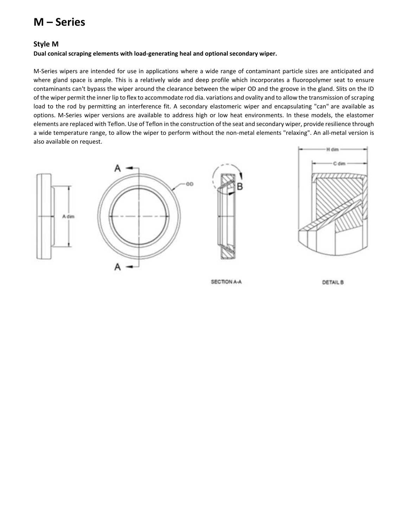## **M – Series**

#### **Style M**

#### **Dual conical scraping elements with load-generating heal and optional secondary wiper.**

M-Series wipers are intended for use in applications where a wide range of contaminant particle sizes are anticipated and where gland space is ample. This is a relatively wide and deep profile which incorporates a fluoropolymer seat to ensure contaminants can't bypass the wiper around the clearance between the wiper OD and the groove in the gland. Slits on the ID of the wiper permit the inner lip to flex to accommodate rod dia. variations and ovality and to allow the transmission of scraping load to the rod by permitting an interference fit. A secondary elastomeric wiper and encapsulating "can" are available as options. M-Series wiper versions are available to address high or low heat environments. In these models, the elastomer elements are replaced with Teflon. Use of Teflon in the construction of the seat and secondary wiper, provide resilience through a wide temperature range, to allow the wiper to perform without the non-metal elements "relaxing". An all-metal version is also available on request.









SECTION A-A

**DETAIL B**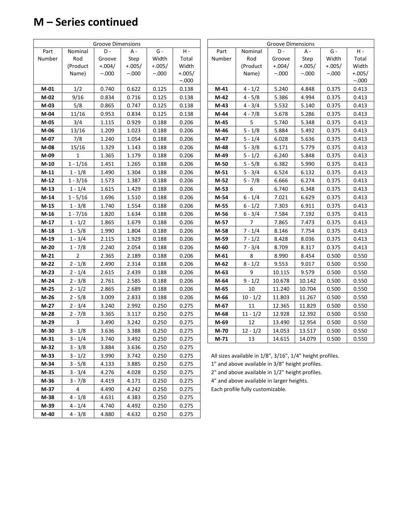# **M – Series continued**

|        |                | Groove Dimensions |          |          |          |        |                                                           | <b>Groove Dimensions</b> |          |          |         |
|--------|----------------|-------------------|----------|----------|----------|--------|-----------------------------------------------------------|--------------------------|----------|----------|---------|
| Part   | Nominal        | D-                | A -      | $G -$    | $H -$    | Part   | Nominal                                                   | D-                       | $A -$    | $G -$    | $H -$   |
| Number | Rod            | Groove            | Step     | Width    | Total    | Number | Rod                                                       | Groove                   | Step     | Width    | Total   |
|        | (Product       | $+.004/$          | $+.005/$ | $+.005/$ | Width    |        | (Product                                                  | $+.004/$                 | $+.005/$ | $+.005/$ | Width   |
|        | Name)          | $-.000$           | $-.000$  | $-.000$  | $+.005/$ |        | Name)                                                     | $-.000$                  | $-.000$  | $-.000$  | +.005,  |
|        |                |                   |          |          | $-.000$  |        |                                                           |                          |          |          | $-.000$ |
| $M-01$ | 1/2            | 0.740             | 0.622    | 0.125    | 0.138    | $M-41$ | $4 - 1/2$                                                 | 5.240                    | 4.848    | 0.375    | 0.413   |
| M-02   | 9/16           | 0.834             | 0.716    | 0.125    | 0.138    | $M-42$ | $4 - 5/8$                                                 | 5.386                    | 4.994    | 0.375    | 0.413   |
| $M-03$ | 5/8            | 0.865             | 0.747    | 0.125    | 0.138    | M-43   | $4 - 3/4$                                                 | 5.532                    | 5.140    | 0.375    | 0.413   |
| $M-04$ | 11/16          | 0.953             | 0.834    | 0.125    | 0.138    | M-44   | $4 - 7/8$                                                 | 5.678                    | 5.286    | 0.375    | 0.413   |
| $M-05$ | 3/4            | 1.115             | 0.929    | 0.188    | 0.206    | M-45   | 5                                                         | 5.740                    | 5.348    | 0.375    | 0.413   |
| M-06   | 13/16          | 1.209             | 1.023    | 0.188    | 0.206    | M-46   | $5 - 1/8$                                                 | 5.884                    | 5.492    | 0.375    | 0.413   |
| M-07   | 7/8            | 1.240             | 1.054    | 0.188    | 0.206    | M-47   | $5 - 1/4$                                                 | 6.028                    | 5.636    | 0.375    | 0.413   |
| M-08   | 15/16          | 1.329             | 1.143    | 0.188    | 0.206    | M-48   | $5 - 3/8$                                                 | 6.171                    | 5.779    | 0.375    | 0.413   |
| M-09   | $\mathbf{1}$   | 1.365             | 1.179    | 0.188    | 0.206    | M-49   | $5 - 1/2$                                                 | 6.240                    | 5.848    | 0.375    | 0.413   |
| $M-10$ | $1 - 1/16$     | 1.451             | 1.265    | 0.188    | 0.206    | M-50   | $5 - 5/8$                                                 | 6.382                    | 5.990    | 0.375    | 0.413   |
| $M-11$ | $1 - 1/8$      | 1.490             | 1.304    | 0.188    | 0.206    | $M-51$ | $5 - 3/4$                                                 | 6.524                    | 6.132    | 0.375    | 0.413   |
| $M-12$ | $1 - 3/16$     | 1.573             | 1.387    | 0.188    | 0.206    | M-52   | $5 - 7/8$                                                 | 6.666                    | 6.274    | 0.375    | 0.413   |
| $M-13$ | $1 - 1/4$      | 1.615             | 1.429    | 0.188    | 0.206    | M-53   | 6                                                         | 6.740                    | 6.348    | 0.375    | 0.413   |
| M-14   | $1 - 5/16$     | 1.696             | 1.510    | 0.188    | 0.206    | M-54   | $6 - 1/4$                                                 | 7.021                    | 6.629    | 0.375    | 0.413   |
| $M-15$ | $1 - 3/8$      | 1.740             | 1.554    | 0.188    | 0.206    | M-55   | $6 - 1/2$                                                 | 7.303                    | 6.911    | 0.375    | 0.413   |
| $M-16$ | $1 - 7/16$     | 1.820             | 1.634    | 0.188    | 0.206    | M-56   | $6 - 3/4$                                                 | 7.584                    | 7.192    | 0.375    | 0.413   |
| $M-17$ | $1 - 1/2$      | 1.865             | 1.679    | 0.188    | 0.206    | M-57   | $\overline{7}$                                            | 7.865                    | 7.473    | 0.375    | 0.413   |
| $M-18$ | $1 - 5/8$      | 1.990             | 1.804    | 0.188    | 0.206    | M-58   | $7 - 1/4$                                                 | 8.146                    | 7.754    | 0.375    | 0.413   |
| $M-19$ | $1 - 3/4$      | 2.115             | 1.929    | 0.188    | 0.206    | M-59   | $7 - 1/2$                                                 | 8.428                    | 8.036    | 0.375    | 0.413   |
| $M-20$ | $1 - 7/8$      | 2.240             | 2.054    | 0.188    | 0.206    | M-60   | $7 - 3/4$                                                 | 8.709                    | 8.317    | 0.375    | 0.413   |
| $M-21$ | $\overline{2}$ | 2.365             | 2.189    | 0.188    | 0.206    | M-61   | 8                                                         | 8.990                    | 8.454    | 0.500    | 0.550   |
| $M-22$ | $2 - 1/8$      | 2.490             | 2.314    | 0.188    | 0.206    | M-62   | $8 - 1/2$                                                 | 9.553                    | 9.017    | 0.500    | 0.550   |
| $M-23$ | $2 - 1/4$      | 2.615             | 2.439    | 0.188    | 0.206    | M-63   | 9                                                         | 10.115                   | 9.579    | 0.500    | 0.550   |
| $M-24$ | $2 - 3/8$      | 2.761             | 2.585    | 0.188    | 0.206    | M-64   | $9 - 1/2$                                                 | 10.678                   | 10.142   | 0.500    | 0.550   |
| $M-25$ | $2 - 1/2$      | 2.865             | 2.689    | 0.188    | 0.206    | M-65   | 10                                                        | 11.240                   | 10.704   | 0.500    | 0.550   |
| $M-26$ | $2 - 5/8$      | 3.009             | 2.833    | 0.188    | 0.206    | M-66   | $10 - 1/2$                                                | 11.803                   | 11.267   | 0.500    | 0.550   |
| $M-27$ | $2 - 3/4$      | 3.240             | 2.992    | 0.250    | 0.275    | M-67   | 11                                                        | 12.365                   | 11.829   | 0.500    | 0.550   |
| $M-28$ | $2 - 7/8$      | 3.365             | 3.117    | 0.250    | 0.275    | M-68   | $11 - 1/2$                                                | 12.928                   | 12.392   | 0.500    | 0.550   |
| $M-29$ | 3              | 3.490             | 3.242    | 0.250    | 0.275    | M-69   | 12                                                        | 13.490                   | 12.954   | 0.500    | 0.550   |
| $M-30$ | $3 - 1/8$      | 3.636             | 3.388    | 0.250    | 0.275    | M-70   | $12 - 1/2$                                                | 14.053                   | 13.517   | 0.500    | 0.550   |
| $M-31$ | $3 - 1/4$      | 3.740             | 3.492    | 0.250    | 0.275    | $M-71$ | 13                                                        | 14.615                   | 14.079   | 0.500    | 0.550   |
| M-32   | $3 - 3/8$      | 3.884             | 3.636    | 0.250    | 0.275    |        |                                                           |                          |          |          |         |
| M-33   | $3 - 1/2$      | 3.990             | 3.742    | 0.250    | 0.275    |        | All sizes available in 1/8", 3/16", 1/4" height profiles. |                          |          |          |         |
| $M-34$ | $3 - 5/8$      | 4.133             | 3.885    | 0.250    | 0.275    |        | 1" and above available in 3/8" height profiles.           |                          |          |          |         |
| M-35   | $3 - 3/4$      | 4.276             | 4.028    | 0.250    | 0.275    |        | 2" and above available in 1/2" height profiles.           |                          |          |          |         |
| M-36   | $3 - 7/8$      | 4.419             | 4.171    | 0.250    | 0.275    |        | 4" and above available in larger heights.                 |                          |          |          |         |
| M-37   | 4              | 4.490             | 4.242    | 0.250    | 0.275    |        | Each profile fully customizable.                          |                          |          |          |         |
| M-38   | $4 - 1/8$      | 4.631             | 4.383    | 0.250    | 0.275    |        |                                                           |                          |          |          |         |
| M-39   | $4 - 1/4$      | 4.740             | 4.492    | 0.250    | 0.275    |        |                                                           |                          |          |          |         |
| $M-40$ | $4 - 3/8$      | 4.880             | 4.632    | 0.250    | 0.275    |        |                                                           |                          |          |          |         |

| <b>Groove Dimensions</b> |            |          |          |          |          |  |  |  |  |  |
|--------------------------|------------|----------|----------|----------|----------|--|--|--|--|--|
| Part                     | Nominal    | D -      | А -      | $G -$    | $H -$    |  |  |  |  |  |
| Number                   | Rod        | Groove   | Step     | Width    | Total    |  |  |  |  |  |
|                          | (Product   | $+.004/$ | $+.005/$ | $+.005/$ | Width    |  |  |  |  |  |
|                          | Name)      | $-.000$  | $-.000$  | $-.000$  | $+.005/$ |  |  |  |  |  |
|                          |            |          |          |          | $-.000$  |  |  |  |  |  |
| $M-41$                   | $4 - 1/2$  | 5.240    | 4.848    | 0.375    | 0.413    |  |  |  |  |  |
| $M-42$                   | $4 - 5/8$  | 5.386    | 4.994    | 0.375    | 0.413    |  |  |  |  |  |
| M-43                     | $4 - 3/4$  | 5.532    | 5.140    | 0.375    | 0.413    |  |  |  |  |  |
| M-44                     | $4 - 7/8$  | 5.678    | 5.286    | 0.375    | 0.413    |  |  |  |  |  |
| M-45                     | 5          | 5.740    | 5.348    | 0.375    | 0.413    |  |  |  |  |  |
| M-46                     | $5 - 1/8$  | 5.884    | 5.492    | 0.375    | 0.413    |  |  |  |  |  |
| $M-47$                   | $5 - 1/4$  | 6.028    | 5.636    | 0.375    | 0.413    |  |  |  |  |  |
| M-48                     | $5 - 3/8$  | 6.171    | 5.779    | 0.375    | 0.413    |  |  |  |  |  |
| M-49                     | $5 - 1/2$  | 6.240    | 5.848    | 0.375    | 0.413    |  |  |  |  |  |
| M-50                     | $5 - 5/8$  | 6.382    | 5.990    | 0.375    | 0.413    |  |  |  |  |  |
| $M-51$                   | $5 - 3/4$  | 6.524    | 6.132    | 0.375    | 0.413    |  |  |  |  |  |
| $M-52$                   | $5 - 7/8$  | 6.666    | 6.274    | 0.375    | 0.413    |  |  |  |  |  |
| M-53                     | 6          | 6.740    | 6.348    | 0.375    | 0.413    |  |  |  |  |  |
| M-54                     | $6 - 1/4$  | 7.021    | 6.629    | 0.375    | 0.413    |  |  |  |  |  |
| M-55                     | $6 - 1/2$  | 7.303    | 6.911    | 0.375    | 0.413    |  |  |  |  |  |
| M-56                     | $6 - 3/4$  | 7.584    | 7.192    | 0.375    | 0.413    |  |  |  |  |  |
| M-57                     | 7          | 7.865    | 7.473    | 0.375    | 0.413    |  |  |  |  |  |
| M-58                     | $7 - 1/4$  | 8.146    | 7.754    | 0.375    | 0.413    |  |  |  |  |  |
| M-59                     | $7 - 1/2$  | 8.428    | 8.036    | 0.375    | 0.413    |  |  |  |  |  |
| M-60                     | $7 - 3/4$  | 8.709    | 8.317    | 0.375    | 0.413    |  |  |  |  |  |
| M-61                     | 8          | 8.990    | 8.454    | 0.500    | 0.550    |  |  |  |  |  |
| M-62                     | $8 - 1/2$  | 9.553    | 9.017    | 0.500    | 0.550    |  |  |  |  |  |
| M-63                     | 9          | 10.115   | 9.579    | 0.500    | 0.550    |  |  |  |  |  |
| M-64                     | $9 - 1/2$  | 10.678   | 10.142   | 0.500    | 0.550    |  |  |  |  |  |
| M-65                     | 10         | 11.240   | 10.704   | 0.500    | 0.550    |  |  |  |  |  |
| M-66                     | $10 - 1/2$ | 11.803   | 11.267   | 0.500    | 0.550    |  |  |  |  |  |
| M-67                     | 11         | 12.365   | 11.829   | 0.500    | 0.550    |  |  |  |  |  |
| M-68                     | $11 - 1/2$ | 12.928   | 12.392   | 0.500    | 0.550    |  |  |  |  |  |
| M-69                     | 12         | 13.490   | 12.954   | 0.500    | 0.550    |  |  |  |  |  |
| M-70                     | $12 - 1/2$ | 14.053   | 13.517   | 0.500    | 0.550    |  |  |  |  |  |
| $M-71$                   | 13         | 14.615   | 14.079   | 0.500    | 0.550    |  |  |  |  |  |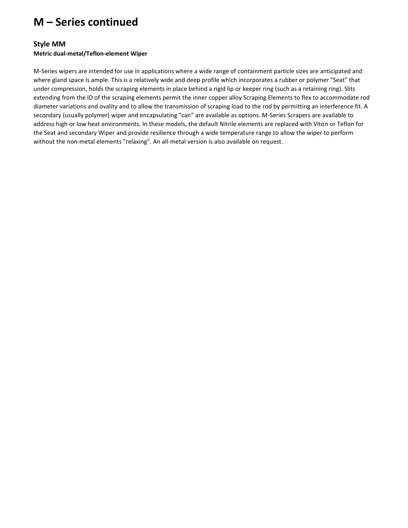## **M – Series continued**

#### **Style MM**

#### **Metric dual-metal/Teflon-element Wiper**

M-Series wipers are intended for use in applications where a wide range of containment particle sizes are anticipated and where gland space is ample. This is a relatively wide and deep profile which incorporates a rubber or polymer "Seat" that under compression, holds the scraping elements in place behind a rigid lip or keeper ring (such as a retaining ring). Slits extending from the ID of the scraping elements permit the inner copper alloy Scraping Elements to flex to accommodate rod diameter variations and ovality and to allow the transmission of scraping load to the rod by permitting an interference fit. A secondary (usually polymer) wiper and encapsulating "can" are available as options. M-Series Scrapers are available to address high or low heat environments. In these models, the default Nitrile elements are replaced with Viton or Teflon for the Seat and secondary Wiper and provide resilience through a wide temperature range to allow the wiper to perform without the non-metal elements "relaxing". An all-metal version is also available on request.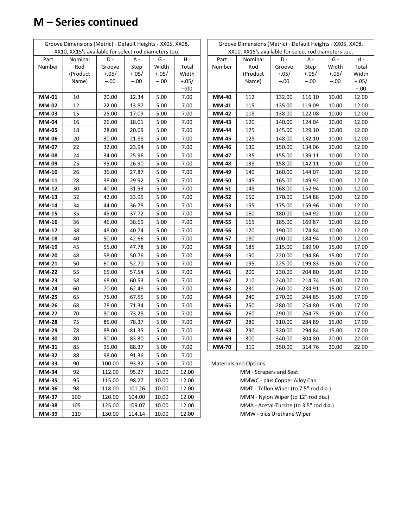# **M – Series continued**

| Groove Dimensions (Metric) - Default Heights - XX05, XX08, |                                                      |         |         |         |               | Groove Dimensions (Metric) - Default Heights - XX05, XX08, |                                         |         |         |         |         |  |
|------------------------------------------------------------|------------------------------------------------------|---------|---------|---------|---------------|------------------------------------------------------------|-----------------------------------------|---------|---------|---------|---------|--|
|                                                            | XX10, XX15's available for select rod diameters too. |         |         |         |               | XX10, XX15's available for select rod diameters too.       |                                         |         |         |         |         |  |
| Part                                                       | Nominal                                              | D-      | A -     | $G -$   | $\mathsf H$ - | Part                                                       | Nominal                                 | D -     | A -     | $G -$   | $H -$   |  |
| Number                                                     | Rod                                                  | Groove  | Step    | Width   | Total         | Number                                                     | Rod                                     | Groove  | Step    | Width   | Total   |  |
|                                                            | (Product                                             | $+.05/$ | $+.05/$ | $+.05/$ | Width         |                                                            | (Product                                | $+.05/$ | $+.05/$ | $+.05/$ | Width   |  |
|                                                            | Name)                                                | $-.00$  | $-.00$  | $-.00$  | $+.05/$       |                                                            | Name)                                   | $-.00$  | $-.00$  | $-.00$  | $+.05/$ |  |
|                                                            |                                                      |         |         |         | $-.00$        |                                                            |                                         |         |         |         | $-.00$  |  |
| <b>MM-01</b>                                               | 10                                                   | 20.00   | 12.34   | 5.00    | 7.00          | <b>MM-40</b>                                               | 112                                     | 132.00  | 116.10  | 10.00   | 12.00   |  |
| <b>MM-02</b>                                               | 12                                                   | 22.00   | 13.87   | 5.00    | 7.00          | <b>MM-41</b>                                               | 115                                     | 135.00  | 119.09  | 10.00   | 12.00   |  |
| <b>MM-03</b>                                               | 15                                                   | 25.00   | 17.09   | 5.00    | 7.00          | <b>MM-42</b>                                               | 118                                     | 138.00  | 122.08  | 10.00   | 12.00   |  |
| <b>MM-04</b>                                               | 16                                                   | 26.00   | 18.01   | 5.00    | 7.00          | MM-43                                                      | 120                                     | 140.00  | 124.04  | 10.00   | 12.00   |  |
| <b>MM-05</b>                                               | 18                                                   | 28.00   | 20.09   | 5.00    | 7.00          | <b>MM-44</b>                                               | 125                                     | 145.00  | 129.10  | 10.00   | 12.00   |  |
| <b>MM-06</b>                                               | 20                                                   | 30.00   | 21.88   | 5.00    | 7.00          | <b>MM-45</b>                                               | 128                                     | 148.00  | 132.10  | 10.00   | 12.00   |  |
| MM-07                                                      | 22                                                   | 32.00   | 23.94   | 5.00    | 7.00          | MM-46                                                      | 130                                     | 150.00  | 134.06  | 10.00   | 12.00   |  |
| <b>MM-08</b>                                               | 24                                                   | 34.00   | 25.96   | 5.00    | 7.00          | <b>MM-47</b>                                               | 135                                     | 155.00  | 139.11  | 10.00   | 12.00   |  |
| <b>MM-09</b>                                               | 25                                                   | 35.00   | 26.90   | 5.00    | 7.00          | <b>MM-48</b>                                               | 138                                     | 158.00  | 142.11  | 10.00   | 12.00   |  |
| <b>MM-10</b>                                               | 26                                                   | 36.00   | 27.87   | 5.00    | 7.00          | MM-49                                                      | 140                                     | 160.00  | 144.07  | 10.00   | 12.00   |  |
| <b>MM-11</b>                                               | 28                                                   | 38.00   | 29.92   | 5.00    | 7.00          | <b>MM-50</b>                                               | 145                                     | 165.00  | 149.92  | 10.00   | 12.00   |  |
| <b>MM-12</b>                                               | 30                                                   | 40.00   | 31.93   | 5.00    | 7.00          | <b>MM-51</b>                                               | 148                                     | 168.00  | 152.94  | 10.00   | 12.00   |  |
| <b>MM-13</b>                                               | 32                                                   | 42.00   | 33.95   | 5.00    | 7.00          | <b>MM-52</b>                                               | 150                                     | 170.00  | 154.88  | 10.00   | 12.00   |  |
| <b>MM-14</b>                                               | 34                                                   | 44.00   | 36.78   | 5.00    | 7.00          | <b>MM-53</b>                                               | 155                                     | 175.00  | 159.96  | 10.00   | 12.00   |  |
| <b>MM-15</b>                                               | 35                                                   | 45.00   | 37.72   | 5.00    | 7.00          | <b>MM-54</b>                                               | 160                                     | 180.00  | 164.92  | 10.00   | 12.00   |  |
| <b>MM-16</b>                                               | 36                                                   | 46.00   | 38.69   | 5.00    | 7.00          | <b>MM-55</b>                                               | 165                                     | 185.00  | 169.87  | 10.00   | 12.00   |  |
| <b>MM-17</b>                                               | 38                                                   | 48.00   | 40.74   | 5.00    | 7.00          | MM-56                                                      | 170                                     | 190.00  | 174.84  | 10.00   | 12.00   |  |
| <b>MM-18</b>                                               | 40                                                   | 50.00   | 42.66   | 5.00    | 7.00          | <b>MM-57</b>                                               | 180                                     | 200.00  | 184.94  | 10.00   | 12.00   |  |
| <b>MM-19</b>                                               | 45                                                   | 55.00   | 47.78   | 5.00    | 7.00          | <b>MM-58</b>                                               | 185                                     | 215.00  | 189.90  | 15.00   | 17.00   |  |
| <b>MM-20</b>                                               | 48                                                   | 58.00   | 50.76   | 5.00    | 7.00          | MM-59                                                      | 190                                     | 220.00  | 194.86  | 15.00   | 17.00   |  |
| <b>MM-21</b>                                               | 50                                                   | 60.00   | 52.70   | 5.00    | 7.00          | MM-60                                                      | 195                                     | 225.00  | 199.83  | 15.00   | 17.00   |  |
| <b>MM-22</b>                                               | 55                                                   | 65.00   | 57.54   | 5.00    | 7.00          | MM-61                                                      | 200                                     | 230.00  | 204.80  | 15.00   | 17.00   |  |
| <b>MM-23</b>                                               | 58                                                   | 68.00   | 60.53   | 5.00    | 7.00          | <b>MM-62</b>                                               | 210                                     | 240.00  | 214.74  | 15.00   | 17.00   |  |
| <b>MM-24</b>                                               | 60                                                   | 70.00   | 62.48   | 5.00    | 7.00          | MM-63                                                      | 230                                     | 260.00  | 234.91  | 15.00   | 17.00   |  |
| <b>MM-25</b>                                               | 65                                                   | 75.00   | 67.55   | 5.00    | 7.00          | <b>MM-64</b>                                               | 240                                     | 270.00  | 244.85  | 15.00   | 17.00   |  |
| <b>MM-26</b>                                               | 68                                                   | 78.00   | 71.34   | 5.00    | 7.00          | MM-65                                                      | 250                                     | 280.00  | 254.80  | 15.00   | 17.00   |  |
| <b>MM-27</b>                                               | 70                                                   | 80.00   | 73.28   | 5.00    | 7.00          | MM-66                                                      | 260                                     | 290.00  | 264.75  | 15.00   | 17.00   |  |
| <b>MM-28</b>                                               | 75                                                   | 85.00   | 78.37   | 5.00    | 7.00          | MM-67                                                      | 280                                     | 310.00  | 284.89  | 15.00   | 17.00   |  |
| <b>MM-29</b>                                               | 78                                                   | 88.00   | 81.35   | 5.00    | 7.00          | <b>MM-68</b>                                               | 290                                     | 320.00  | 294.84  | 15.00   | 17.00   |  |
| <b>MM-30</b>                                               | 80                                                   | 90.00   | 83.30   | 5.00    | 7.00          | MM-69                                                      | 300                                     | 340.00  | 304.80  | 20.00   | 22.00   |  |
| MM-31                                                      | 85                                                   | 95.00   | 88.37   | 5.00    | 7.00          | <b>MM-70</b>                                               | 310                                     | 350.00  | 314.76  | 20.00   | 22.00   |  |
| <b>MM-32</b>                                               | 88                                                   | 98.00   | 91.36   | 5.00    | 7.00          |                                                            |                                         |         |         |         |         |  |
| <b>MM-33</b>                                               | 90                                                   | 100.00  | 93.32   | 5.00    | 7.00          |                                                            | <b>Materials and Options:</b>           |         |         |         |         |  |
| <b>MM-34</b>                                               | 92                                                   | 112.00  | 95.27   | 10.00   | 12.00         |                                                            | MM - Scrapers and Seat                  |         |         |         |         |  |
| <b>MM-35</b>                                               | 95                                                   | 115.00  | 98.27   | 10.00   | 12.00         |                                                            | MMWC - plus Copper Alloy Can            |         |         |         |         |  |
| <b>MM-36</b>                                               | 98                                                   | 118.00  | 101.26  | 10.00   | 12.00         |                                                            | MMT - Teflon Wiper (to 7.5" rod dia.)   |         |         |         |         |  |
| <b>MM-37</b>                                               | 100                                                  | 120.00  | 104.00  | 10.00   | 12.00         |                                                            | MMN - Nylon Wiper (to 12" rod dia.)     |         |         |         |         |  |
| <b>MM-38</b>                                               | 105                                                  | 125.00  | 109.07  | 10.00   | 12.00         |                                                            | MMA - Acetal-Turcite (to 3.5" rod dia.) |         |         |         |         |  |
| MM-39                                                      | 110                                                  | 130.00  | 114.14  | 10.00   | 12.00         |                                                            | MMW - plus Urethane Wiper               |         |         |         |         |  |

|        | Groove Dimensions (Metric) - Default Heights - XX05, XX08,<br>XX10, XX15's available for select rod diameters too. |         |         |        |         |  |  |  |  |  |  |
|--------|--------------------------------------------------------------------------------------------------------------------|---------|---------|--------|---------|--|--|--|--|--|--|
| Part   | Nominal                                                                                                            | D -     | А -     | G -    | н -     |  |  |  |  |  |  |
| Number | Rod                                                                                                                | Groove  | Step    | Width  | Total   |  |  |  |  |  |  |
|        | (Product                                                                                                           | $+.05/$ | $+.05/$ | +.05/  | Width   |  |  |  |  |  |  |
|        | Name)                                                                                                              | -.00    | -.00    | $-.00$ | $+.05/$ |  |  |  |  |  |  |
|        |                                                                                                                    |         |         |        | $-.00$  |  |  |  |  |  |  |
| MM-40  | 112                                                                                                                | 132.00  | 116.10  | 10.00  | 12.00   |  |  |  |  |  |  |
| MM-41  | 115                                                                                                                | 135.00  | 119.09  | 10.00  | 12.00   |  |  |  |  |  |  |
| MM-42  | 118                                                                                                                | 138.00  | 122.08  | 10.00  | 12.00   |  |  |  |  |  |  |
| MM-43  | 120                                                                                                                | 140.00  | 124.04  | 10.00  | 12.00   |  |  |  |  |  |  |
| MM-44  | 125                                                                                                                | 145.00  | 129.10  | 10.00  | 12.00   |  |  |  |  |  |  |
| MM-45  | 128                                                                                                                | 148.00  | 132.10  | 10.00  | 12.00   |  |  |  |  |  |  |
| MM-46  | 130                                                                                                                | 150.00  | 134.06  | 10.00  | 12.00   |  |  |  |  |  |  |
| MM-47  | 135                                                                                                                | 155.00  | 139.11  | 10.00  | 12.00   |  |  |  |  |  |  |
| MM-48  | 138                                                                                                                | 158.00  | 142.11  | 10.00  | 12.00   |  |  |  |  |  |  |
| MM-49  | 140                                                                                                                | 160.00  | 144.07  | 10.00  | 12.00   |  |  |  |  |  |  |
| MM-50  | 145                                                                                                                | 165.00  | 149.92  | 10.00  | 12.00   |  |  |  |  |  |  |
| MM-51  | 148                                                                                                                | 168.00  | 152.94  | 10.00  | 12.00   |  |  |  |  |  |  |
| MM-52  | 150                                                                                                                | 170.00  | 154.88  | 10.00  | 12.00   |  |  |  |  |  |  |
| MM-53  | 155                                                                                                                | 175.00  | 159.96  | 10.00  | 12.00   |  |  |  |  |  |  |
| MM-54  | 160                                                                                                                | 180.00  | 164.92  | 10.00  | 12.00   |  |  |  |  |  |  |
| MM-55  | 165                                                                                                                | 185.00  | 169.87  | 10.00  | 12.00   |  |  |  |  |  |  |
| MM-56  | 170                                                                                                                | 190.00  | 174.84  | 10.00  | 12.00   |  |  |  |  |  |  |
| MM-57  | 180                                                                                                                | 200.00  | 184.94  | 10.00  | 12.00   |  |  |  |  |  |  |
| MM-58  | 185                                                                                                                | 215.00  | 189.90  | 15.00  | 17.00   |  |  |  |  |  |  |
| MM-59  | 190                                                                                                                | 220.00  | 194.86  | 15.00  | 17.00   |  |  |  |  |  |  |
| MM-60  | 195                                                                                                                | 225.00  | 199.83  | 15.00  | 17.00   |  |  |  |  |  |  |
| MM-61  | 200                                                                                                                | 230.00  | 204.80  | 15.00  | 17.00   |  |  |  |  |  |  |
| MM-62  | 210                                                                                                                | 240.00  | 214.74  | 15.00  | 17.00   |  |  |  |  |  |  |
| MM-63  | 230                                                                                                                | 260.00  | 234.91  | 15.00  | 17.00   |  |  |  |  |  |  |
| MM-64  | 240                                                                                                                | 270.00  | 244.85  | 15.00  | 17.00   |  |  |  |  |  |  |
| MM-65  | 250                                                                                                                | 280.00  | 254.80  | 15.00  | 17.00   |  |  |  |  |  |  |
| MM-66  | 260                                                                                                                | 290.00  | 264.75  | 15.00  | 17.00   |  |  |  |  |  |  |
| MM-67  | 280                                                                                                                | 310.00  | 284.89  | 15.00  | 17.00   |  |  |  |  |  |  |
| MM-68  | 290                                                                                                                | 320.00  | 294.84  | 15.00  | 17.00   |  |  |  |  |  |  |
| MM-69  | 300                                                                                                                | 340.00  | 304.80  | 20.00  | 22.00   |  |  |  |  |  |  |
| MM-70  | 310                                                                                                                | 350.00  | 314.76  | 20.00  | 22.00   |  |  |  |  |  |  |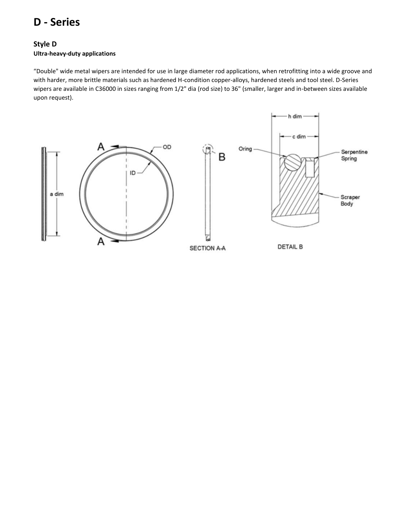## **D - Series**

### **Style D**

#### **Ultra-heavy-duty applications**

"Double" wide metal wipers are intended for use in large diameter rod applications, when retrofitting into a wide groove and with harder, more brittle materials such as hardened H-condition copper-alloys, hardened steels and tool steel. D-Series wipers are available in C36000 in sizes ranging from 1/2" dia (rod size) to 36" (smaller, larger and in-between sizes available upon request).

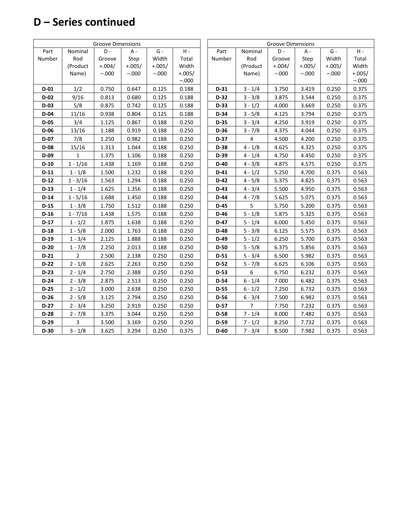# **D – Series continued**

| <b>Groove Dimensions</b> |                |          |          |          |          |  | <b>Groove Dimensions</b> |                |          |          |          |          |
|--------------------------|----------------|----------|----------|----------|----------|--|--------------------------|----------------|----------|----------|----------|----------|
| Part                     | Nominal        | D-       | A -      | $G -$    | $H -$    |  | Part                     | Nominal        | D -      | A -      | $G -$    | $H -$    |
| Number                   | Rod            | Groove   | Step     | Width    | Total    |  | Number                   | Rod            | Groove   | Step     | Width    | Total    |
|                          | (Product       | $+.004/$ | $+.005/$ | $+.005/$ | Width    |  |                          | (Product       | $+.004/$ | $+.005/$ | $+.005/$ | Width    |
|                          | Name)          | $-.000$  | $-.000$  | $-.000$  | $+.005/$ |  |                          | Name)          | $-.000$  | $-.000$  | $-.000$  | $+.005/$ |
|                          |                |          |          |          | $-.000$  |  |                          |                |          |          |          | $-.000$  |
| $D-01$                   | 1/2            | 0.750    | 0.647    | 0.125    | 0.188    |  | $D-31$                   | $3 - 1/4$      | 3.750    | 3.419    | 0.250    | 0.375    |
| $D-02$                   | 9/16           | 0.813    | 0.680    | 0.125    | 0.188    |  | $D-32$                   | $3 - 3/8$      | 3.875    | 3.544    | 0.250    | 0.375    |
| $D-03$                   | 5/8            | 0.875    | 0.742    | 0.125    | 0.188    |  | $D-33$                   | $3 - 1/2$      | 4.000    | 3.669    | 0.250    | 0.375    |
| $D-04$                   | 11/16          | 0.938    | 0.804    | 0.125    | 0.188    |  | $D-34$                   | $3 - 5/8$      | 4.125    | 3.794    | 0.250    | 0.375    |
| D-05                     | 3/4            | 1.125    | 0.867    | 0.188    | 0.250    |  | D-35                     | $3 - 3/4$      | 4.250    | 3.919    | 0.250    | 0.375    |
| $D-06$                   | 13/16          | 1.188    | 0.919    | 0.188    | 0.250    |  | $D-36$                   | $3 - 7/8$      | 4.375    | 4.044    | 0.250    | 0.375    |
| $D-07$                   | 7/8            | 1.250    | 0.982    | 0.188    | 0.250    |  | $D-37$                   | $\overline{4}$ | 4.500    | 4.200    | 0.250    | 0.375    |
| $D-08$                   | 15/16          | 1.313    | 1.044    | 0.188    | 0.250    |  | $D-38$                   | $4 - 1/8$      | 4.625    | 4.325    | 0.250    | 0.375    |
| $D-09$                   | 1              | 1.375    | 1.106    | 0.188    | 0.250    |  | $D-39$                   | $4 - 1/4$      | 4.750    | 4.450    | 0.250    | 0.375    |
| $D-10$                   | $1 - 1/16$     | 1.438    | 1.169    | 0.188    | 0.250    |  | $D-40$                   | $4 - 3/8$      | 4.875    | 4.575    | 0.250    | 0.375    |
| $D-11$                   | $1 - 1/8$      | 1.500    | 1.232    | 0.188    | 0.250    |  | $D-41$                   | $4 - 1/2$      | 5.250    | 4.700    | 0.375    | 0.563    |
| $D-12$                   | $1 - 3/16$     | 1.563    | 1.294    | 0.188    | 0.250    |  | $D-42$                   | $4 - 5/8$      | 5.375    | 4.825    | 0.375    | 0.563    |
| $D-13$                   | $1 - 1/4$      | 1.625    | 1.356    | 0.188    | 0.250    |  | D-43                     | $4 - 3/4$      | 5.500    | 4.950    | 0.375    | 0.563    |
| $D-14$                   | $1 - 5/16$     | 1.688    | 1.450    | 0.188    | 0.250    |  | $D-44$                   | $4 - 7/8$      | 5.625    | 5.075    | 0.375    | 0.563    |
| $D-15$                   | $1 - 3/8$      | 1.750    | 1.512    | 0.188    | 0.250    |  | D-45                     | 5              | 5.750    | 5.200    | 0.375    | 0.563    |
| $D-16$                   | $1 - 7/16$     | 1.438    | 1.575    | 0.188    | 0.250    |  | D-46                     | $5 - 1/8$      | 5.875    | 5.325    | 0.375    | 0.563    |
| $D-17$                   | $1 - 1/2$      | 1.875    | 1.638    | 0.188    | 0.250    |  | $D-47$                   | $5 - 1/4$      | 6.000    | 5.450    | 0.375    | 0.563    |
| $D-18$                   | $1 - 5/8$      | 2.000    | 1.763    | 0.188    | 0.250    |  | D-48                     | $5 - 3/8$      | 6.125    | 5.575    | 0.375    | 0.563    |
| $D-19$                   | $1 - 3/4$      | 2.125    | 1.888    | 0.188    | 0.250    |  | D-49                     | $5 - 1/2$      | 6.250    | 5.700    | 0.375    | 0.563    |
| $D-20$                   | $1 - 7/8$      | 2.250    | 2.013    | 0.188    | 0.250    |  | D-50                     | $5 - 5/8$      | 6.375    | 5.856    | 0.375    | 0.563    |
| $D-21$                   | $\overline{2}$ | 2.500    | 2.138    | 0.250    | 0.250    |  | $D-51$                   | $5 - 3/4$      | 6.500    | 5.982    | 0.375    | 0.563    |
| $D-22$                   | $2 - 1/8$      | 2.625    | 2.263    | 0.250    | 0.250    |  | $D-52$                   | $5 - 7/8$      | 6.625    | 6.106    | 0.375    | 0.563    |
| $D-23$                   | $2 - 1/4$      | 2.750    | 2.388    | 0.250    | 0.250    |  | $D-53$                   | 6              | 6.750    | 6.232    | 0.375    | 0.563    |
| $D-24$                   | $2 - 3/8$      | 2.875    | 2.513    | 0.250    | 0.250    |  | $D-54$                   | $6 - 1/4$      | 7.000    | 6.482    | 0.375    | 0.563    |
| $D-25$                   | $2 - 1/2$      | 3.000    | 2.638    | 0.250    | 0.250    |  | $D-55$                   | $6 - 1/2$      | 7.250    | 6.732    | 0.375    | 0.563    |
| $D-26$                   | $2 - 5/8$      | 3.125    | 2.794    | 0.250    | 0.250    |  | D-56                     | $6 - 3/4$      | 7.500    | 6.982    | 0.375    | 0.563    |
| $D-27$                   | $2 - 3/4$      | 3.250    | 2.919    | 0.250    | 0.250    |  | D-57                     | 7              | 7.750    | 7.232    | 0.375    | 0.563    |
| $D-28$                   | $2 - 7/8$      | 3.375    | 3.044    | 0.250    | 0.250    |  | D-58                     | $7 - 1/4$      | 8.000    | 7.482    | 0.375    | 0.563    |
| $D-29$                   | 3              | 3.500    | 3.169    | 0.250    | 0.250    |  | $D-59$                   | $7 - 1/2$      | 8.250    | 7.732    | 0.375    | 0.563    |
| $D-30$                   | $3 - 1/8$      | 3.625    | 3.294    | 0.250    | 0.375    |  | $D-60$                   | $7 - 3/4$      | 8.500    | 7.982    | 0.375    | 0.563    |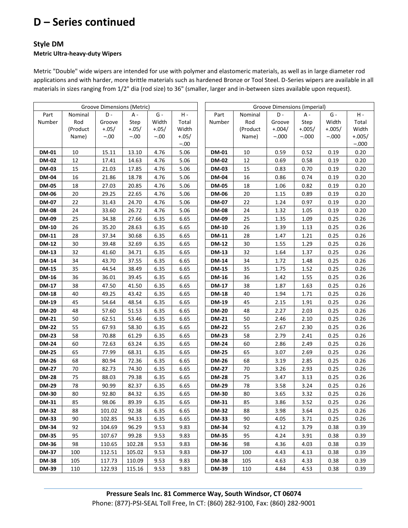# **D – Series continued**

#### **Style DM**

#### **Metric Ultra-heavy-duty Wipers**

Metric "Double" wide wipers are intended for use with polymer and elastomeric materials, as well as in large diameter rod applications and with harder, more brittle materials such as hardened Bronze or Tool Steel. D-Series wipers are available in all materials in sizes ranging from 1/2" dia (rod size) to 36" (smaller, larger and in-between sizes available upon request).

|              | Groove Dimensions (Metric) |         |         |                 |         |  |              | Groove Dimensions (imperial) |          |          |          |          |  |
|--------------|----------------------------|---------|---------|-----------------|---------|--|--------------|------------------------------|----------|----------|----------|----------|--|
| Part         | Nominal                    | D-      | A -     | ${\mathsf G}$ - | $H -$   |  | Part         | Nominal                      | D-       | A -      | $G -$    | $H -$    |  |
| Number       | Rod                        | Groove  | Step    | Width           | Total   |  | Number       | Rod                          | Groove   | Step     | Width    | Total    |  |
|              | (Product                   | $+.05/$ | $+.05/$ | $+.05/$         | Width   |  |              | (Product                     | $+.004/$ | $+.005/$ | $+.005/$ | Width    |  |
|              | Name)                      | $-.00$  | $-.00$  | $-.00$          | $+.05/$ |  |              | Name)                        | $-.000$  | $-.000$  | $-.000$  | $+.005/$ |  |
|              |                            |         |         |                 | $-.00$  |  |              |                              |          |          |          | $-.000$  |  |
| <b>DM-01</b> | 10                         | 15.11   | 13.10   | 4.76            | 5.06    |  | <b>DM-01</b> | 10                           | 0.59     | 0.52     | 0.19     | 0.20     |  |
| <b>DM-02</b> | 12                         | 17.41   | 14.63   | 4.76            | 5.06    |  | <b>DM-02</b> | 12                           | 0.69     | 0.58     | 0.19     | 0.20     |  |
| <b>DM-03</b> | 15                         | 21.03   | 17.85   | 4.76            | 5.06    |  | <b>DM-03</b> | 15                           | 0.83     | 0.70     | 0.19     | 0.20     |  |
| <b>DM-04</b> | 16                         | 21.86   | 18.78   | 4.76            | 5.06    |  | <b>DM-04</b> | 16                           | 0.86     | 0.74     | 0.19     | 0.20     |  |
| <b>DM-05</b> | 18                         | 27.03   | 20.85   | 4.76            | 5.06    |  | <b>DM-05</b> | 18                           | 1.06     | 0.82     | 0.19     | 0.20     |  |
| <b>DM-06</b> | 20                         | 29.25   | 22.65   | 4.76            | 5.06    |  | <b>DM-06</b> | 20                           | 1.15     | 0.89     | 0.19     | 0.20     |  |
| <b>DM-07</b> | 22                         | 31.43   | 24.70   | 4.76            | 5.06    |  | <b>DM-07</b> | 22                           | 1.24     | 0.97     | 0.19     | 0.20     |  |
| <b>DM-08</b> | 24                         | 33.60   | 26.72   | 4.76            | 5.06    |  | <b>DM-08</b> | 24                           | 1.32     | 1.05     | 0.19     | 0.20     |  |
| DM-09        | 25                         | 34.38   | 27.66   | 6.35            | 6.65    |  | DM-09        | 25                           | 1.35     | 1.09     | 0.25     | 0.26     |  |
| <b>DM-10</b> | 26                         | 35.20   | 28.63   | 6.35            | 6.65    |  | <b>DM-10</b> | 26                           | 1.39     | 1.13     | 0.25     | 0.26     |  |
| <b>DM-11</b> | 28                         | 37.34   | 30.68   | 6.35            | 6.65    |  | <b>DM-11</b> | 28                           | 1.47     | 1.21     | 0.25     | 0.26     |  |
| <b>DM-12</b> | 30                         | 39.48   | 32.69   | 6.35            | 6.65    |  | <b>DM-12</b> | 30                           | 1.55     | 1.29     | 0.25     | 0.26     |  |
| <b>DM-13</b> | 32                         | 41.60   | 34.71   | 6.35            | 6.65    |  | <b>DM-13</b> | 32                           | 1.64     | 1.37     | 0.25     | 0.26     |  |
| <b>DM-14</b> | 34                         | 43.70   | 37.55   | 6.35            | 6.65    |  | <b>DM-14</b> | 34                           | 1.72     | 1.48     | 0.25     | 0.26     |  |
| <b>DM-15</b> | 35                         | 44.54   | 38.49   | 6.35            | 6.65    |  | <b>DM-15</b> | 35                           | 1.75     | 1.52     | 0.25     | 0.26     |  |
| DM-16        | 36                         | 36.01   | 39.45   | 6.35            | 6.65    |  | <b>DM-16</b> | 36                           | 1.42     | 1.55     | 0.25     | 0.26     |  |
| <b>DM-17</b> | 38                         | 47.50   | 41.50   | 6.35            | 6.65    |  | <b>DM-17</b> | 38                           | 1.87     | 1.63     | 0.25     | 0.26     |  |
| <b>DM-18</b> | 40                         | 49.25   | 43.42   | 6.35            | 6.65    |  | <b>DM-18</b> | 40                           | 1.94     | 1.71     | 0.25     | 0.26     |  |
| <b>DM-19</b> | 45                         | 54.64   | 48.54   | 6.35            | 6.65    |  | <b>DM-19</b> | 45                           | 2.15     | 1.91     | 0.25     | 0.26     |  |
| <b>DM-20</b> | 48                         | 57.60   | 51.53   | 6.35            | 6.65    |  | <b>DM-20</b> | 48                           | 2.27     | 2.03     | 0.25     | 0.26     |  |
| <b>DM-21</b> | 50                         | 62.51   | 53.46   | 6.35            | 6.65    |  | <b>DM-21</b> | 50                           | 2.46     | 2.10     | 0.25     | 0.26     |  |
| <b>DM-22</b> | 55                         | 67.93   | 58.30   | 6.35            | 6.65    |  | <b>DM-22</b> | 55                           | 2.67     | 2.30     | 0.25     | 0.26     |  |
| <b>DM-23</b> | 58                         | 70.88   | 61.29   | 6.35            | 6.65    |  | <b>DM-23</b> | 58                           | 2.79     | 2.41     | 0.25     | 0.26     |  |
| <b>DM-24</b> | 60                         | 72.63   | 63.24   | 6.35            | 6.65    |  | <b>DM-24</b> | 60                           | 2.86     | 2.49     | 0.25     | 0.26     |  |
| <b>DM-25</b> | 65                         | 77.99   | 68.31   | 6.35            | 6.65    |  | <b>DM-25</b> | 65                           | 3.07     | 2.69     | 0.25     | 0.26     |  |
| <b>DM-26</b> | 68                         | 80.94   | 72.36   | 6.35            | 6.65    |  | <b>DM-26</b> | 68                           | 3.19     | 2.85     | 0.25     | 0.26     |  |
| <b>DM-27</b> | 70                         | 82.73   | 74.30   | 6.35            | 6.65    |  | <b>DM-27</b> | 70                           | 3.26     | 2.93     | 0.25     | 0.26     |  |
| <b>DM-28</b> | 75                         | 88.03   | 79.38   | 6.35            | 6.65    |  | <b>DM-28</b> | 75                           | 3.47     | 3.13     | 0.25     | 0.26     |  |
| <b>DM-29</b> | 78                         | 90.99   | 82.37   | 6.35            | 6.65    |  | <b>DM-29</b> | 78                           | 3.58     | 3.24     | 0.25     | 0.26     |  |
| <b>DM-30</b> | 80                         | 92.80   | 84.32   | 6.35            | 6.65    |  | <b>DM-30</b> | 80                           | 3.65     | 3.32     | 0.25     | 0.26     |  |
| <b>DM-31</b> | 85                         | 98.06   | 89.39   | 6.35            | 6.65    |  | <b>DM-31</b> | 85                           | 3.86     | 3.52     | 0.25     | 0.26     |  |
| <b>DM-32</b> | 88                         | 101.02  | 92.38   | 6.35            | 6.65    |  | <b>DM-32</b> | 88                           | 3.98     | 3.64     | 0.25     | 0.26     |  |
| <b>DM-33</b> | 90                         | 102.85  | 94.33   | 6.35            | 6.65    |  | <b>DM-33</b> | 90                           | 4.05     | 3.71     | 0.25     | 0.26     |  |
| <b>DM-34</b> | 92                         | 104.69  | 96.29   | 9.53            | 9.83    |  | <b>DM-34</b> | 92                           | 4.12     | 3.79     | 0.38     | 0.39     |  |
| <b>DM-35</b> | 95                         | 107.67  | 99.28   | 9.53            | 9.83    |  | <b>DM-35</b> | 95                           | 4.24     | 3.91     | 0.38     | 0.39     |  |
| <b>DM-36</b> | 98                         | 110.65  | 102.28  | 9.53            | 9.83    |  | <b>DM-36</b> | 98                           | 4.36     | 4.03     | 0.38     | 0.39     |  |
| <b>DM-37</b> | 100                        | 112.51  | 105.02  | 9.53            | 9.83    |  | DM-37        | 100                          | 4.43     | 4.13     | 0.38     | 0.39     |  |
| <b>DM-38</b> | 105                        | 117.73  | 110.09  | 9.53            | 9.83    |  | <b>DM-38</b> | 105                          | 4.63     | 4.33     | 0.38     | 0.39     |  |
| <b>DM-39</b> | 110                        | 122.93  | 115.16  | 9.53            | 9.83    |  | <b>DM-39</b> | 110                          | 4.84     | 4.53     | 0.38     | 0.39     |  |